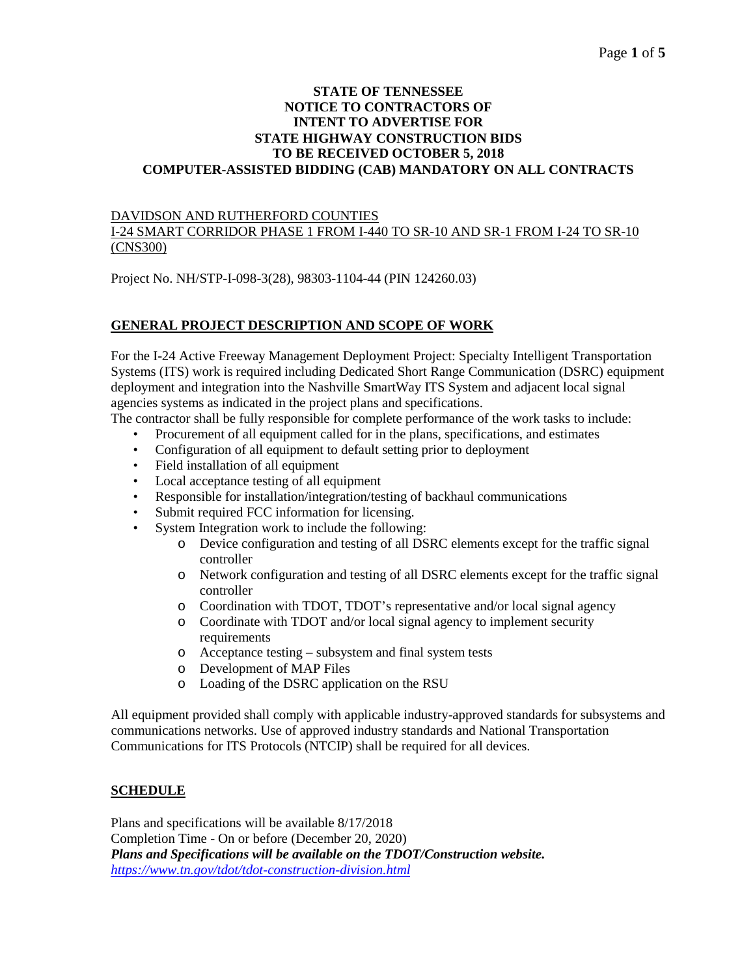#### **STATE OF TENNESSEE NOTICE TO CONTRACTORS OF INTENT TO ADVERTISE FOR STATE HIGHWAY CONSTRUCTION BIDS TO BE RECEIVED OCTOBER 5, 2018 COMPUTER-ASSISTED BIDDING (CAB) MANDATORY ON ALL CONTRACTS**

### DAVIDSON AND RUTHERFORD COUNTIES

### I-24 SMART CORRIDOR PHASE 1 FROM I-440 TO SR-10 AND SR-1 FROM I-24 TO SR-10 (CNS300)

Project No. NH/STP-I-098-3(28), 98303-1104-44 (PIN 124260.03)

# **GENERAL PROJECT DESCRIPTION AND SCOPE OF WORK**

For the I-24 Active Freeway Management Deployment Project: Specialty Intelligent Transportation Systems (ITS) work is required including Dedicated Short Range Communication (DSRC) equipment deployment and integration into the Nashville SmartWay ITS System and adjacent local signal agencies systems as indicated in the project plans and specifications.

The contractor shall be fully responsible for complete performance of the work tasks to include:

- Procurement of all equipment called for in the plans, specifications, and estimates
- Configuration of all equipment to default setting prior to deployment
- Field installation of all equipment
- Local acceptance testing of all equipment
- Responsible for installation/integration/testing of backhaul communications
- Submit required FCC information for licensing.
- System Integration work to include the following:
	- o Device configuration and testing of all DSRC elements except for the traffic signal controller
	- o Network configuration and testing of all DSRC elements except for the traffic signal controller
	- o Coordination with TDOT, TDOT's representative and/or local signal agency
	- o Coordinate with TDOT and/or local signal agency to implement security requirements
	- o Acceptance testing subsystem and final system tests
	- o Development of MAP Files
	- o Loading of the DSRC application on the RSU

All equipment provided shall comply with applicable industry-approved standards for subsystems and communications networks. Use of approved industry standards and National Transportation Communications for ITS Protocols (NTCIP) shall be required for all devices.

## **SCHEDULE**

Plans and specifications will be available 8/17/2018 Completion Time - On or before (December 20, 2020) *Plans and Specifications will be available on the TDOT/Construction website. <https://www.tn.gov/tdot/tdot-construction-division.html>*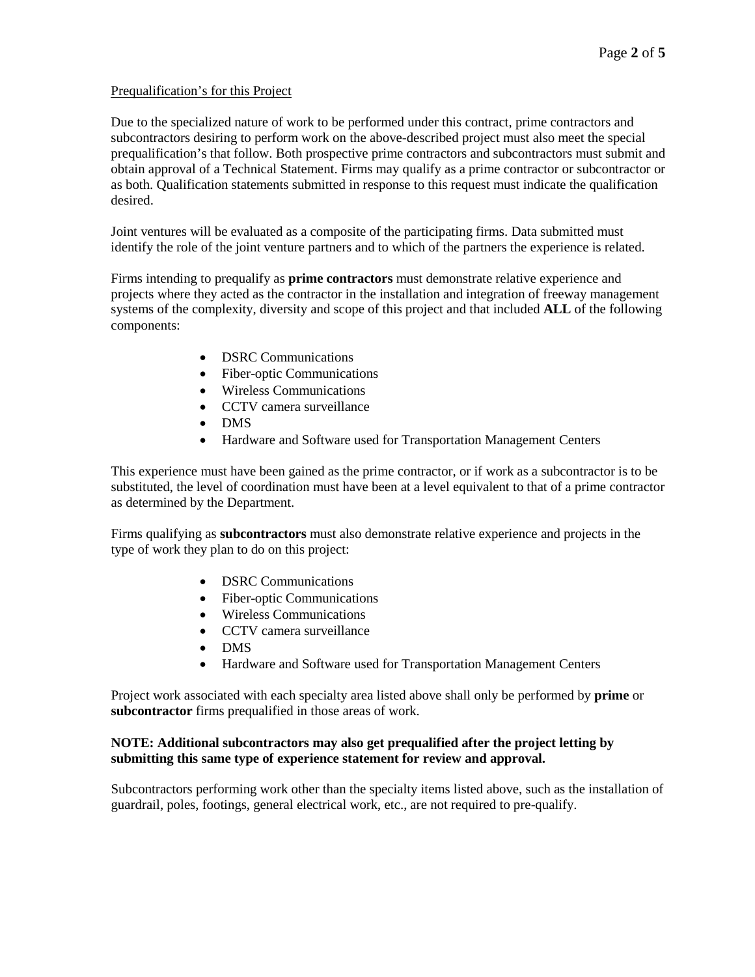### Prequalification's for this Project

Due to the specialized nature of work to be performed under this contract, prime contractors and subcontractors desiring to perform work on the above-described project must also meet the special prequalification's that follow. Both prospective prime contractors and subcontractors must submit and obtain approval of a Technical Statement. Firms may qualify as a prime contractor or subcontractor or as both. Qualification statements submitted in response to this request must indicate the qualification desired.

Joint ventures will be evaluated as a composite of the participating firms. Data submitted must identify the role of the joint venture partners and to which of the partners the experience is related.

Firms intending to prequalify as **prime contractors** must demonstrate relative experience and projects where they acted as the contractor in the installation and integration of freeway management systems of the complexity, diversity and scope of this project and that included **ALL** of the following components:

- DSRC Communications
- Fiber-optic Communications
- Wireless Communications
- CCTV camera surveillance
- DMS
- Hardware and Software used for Transportation Management Centers

This experience must have been gained as the prime contractor, or if work as a subcontractor is to be substituted, the level of coordination must have been at a level equivalent to that of a prime contractor as determined by the Department.

Firms qualifying as **subcontractors** must also demonstrate relative experience and projects in the type of work they plan to do on this project:

- **DSRC Communications**
- Fiber-optic Communications
- Wireless Communications
- CCTV camera surveillance
- DMS
- Hardware and Software used for Transportation Management Centers

Project work associated with each specialty area listed above shall only be performed by **prime** or **subcontractor** firms prequalified in those areas of work.

### **NOTE: Additional subcontractors may also get prequalified after the project letting by submitting this same type of experience statement for review and approval.**

Subcontractors performing work other than the specialty items listed above, such as the installation of guardrail, poles, footings, general electrical work, etc., are not required to pre-qualify.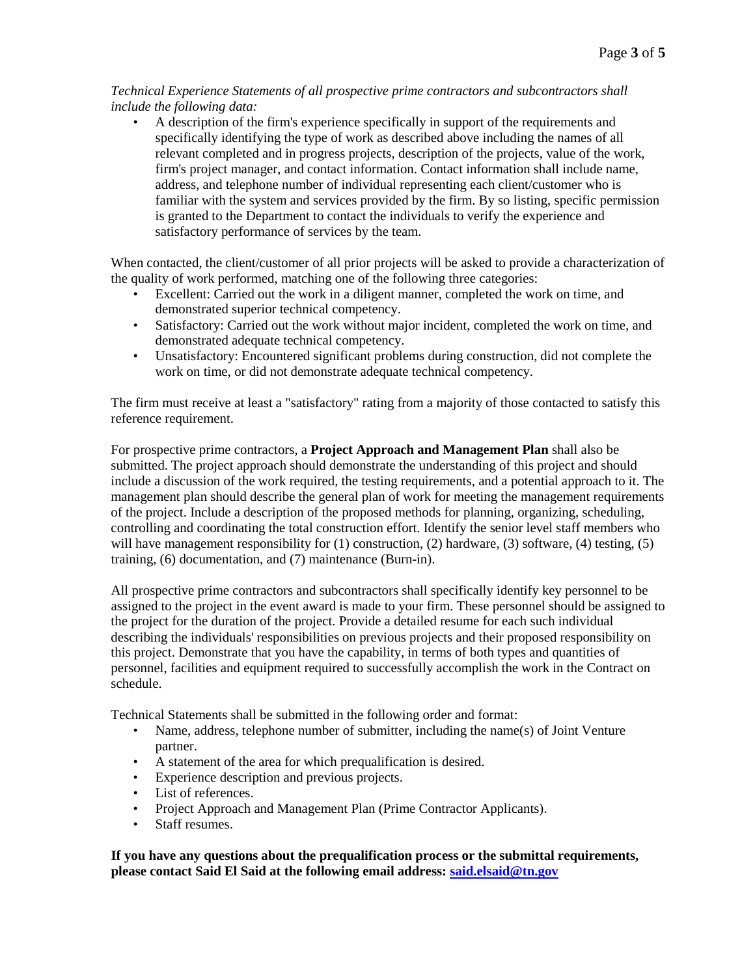*Technical Experience Statements of all prospective prime contractors and subcontractors shall include the following data:*

• A description of the firm's experience specifically in support of the requirements and specifically identifying the type of work as described above including the names of all relevant completed and in progress projects, description of the projects, value of the work, firm's project manager, and contact information. Contact information shall include name, address, and telephone number of individual representing each client/customer who is familiar with the system and services provided by the firm. By so listing, specific permission is granted to the Department to contact the individuals to verify the experience and satisfactory performance of services by the team.

When contacted, the client/customer of all prior projects will be asked to provide a characterization of the quality of work performed, matching one of the following three categories:

- Excellent: Carried out the work in a diligent manner, completed the work on time, and demonstrated superior technical competency.
- Satisfactory: Carried out the work without major incident, completed the work on time, and demonstrated adequate technical competency.
- Unsatisfactory: Encountered significant problems during construction, did not complete the work on time, or did not demonstrate adequate technical competency.

The firm must receive at least a "satisfactory" rating from a majority of those contacted to satisfy this reference requirement.

For prospective prime contractors, a **Project Approach and Management Plan** shall also be submitted. The project approach should demonstrate the understanding of this project and should include a discussion of the work required, the testing requirements, and a potential approach to it. The management plan should describe the general plan of work for meeting the management requirements of the project. Include a description of the proposed methods for planning, organizing, scheduling, controlling and coordinating the total construction effort. Identify the senior level staff members who will have management responsibility for (1) construction, (2) hardware, (3) software, (4) testing, (5) training, (6) documentation, and (7) maintenance (Burn-in).

All prospective prime contractors and subcontractors shall specifically identify key personnel to be assigned to the project in the event award is made to your firm. These personnel should be assigned to the project for the duration of the project. Provide a detailed resume for each such individual describing the individuals' responsibilities on previous projects and their proposed responsibility on this project. Demonstrate that you have the capability, in terms of both types and quantities of personnel, facilities and equipment required to successfully accomplish the work in the Contract on schedule.

Technical Statements shall be submitted in the following order and format:

- Name, address, telephone number of submitter, including the name(s) of Joint Venture partner.
- A statement of the area for which prequalification is desired.
- Experience description and previous projects.
- List of references.
- Project Approach and Management Plan (Prime Contractor Applicants).
- Staff resumes.

**If you have any questions about the prequalification process or the submittal requirements, please contact Said El Said at the following email address: [said.elsaid@tn.gov](mailto:said.elsaid@tn.gov)**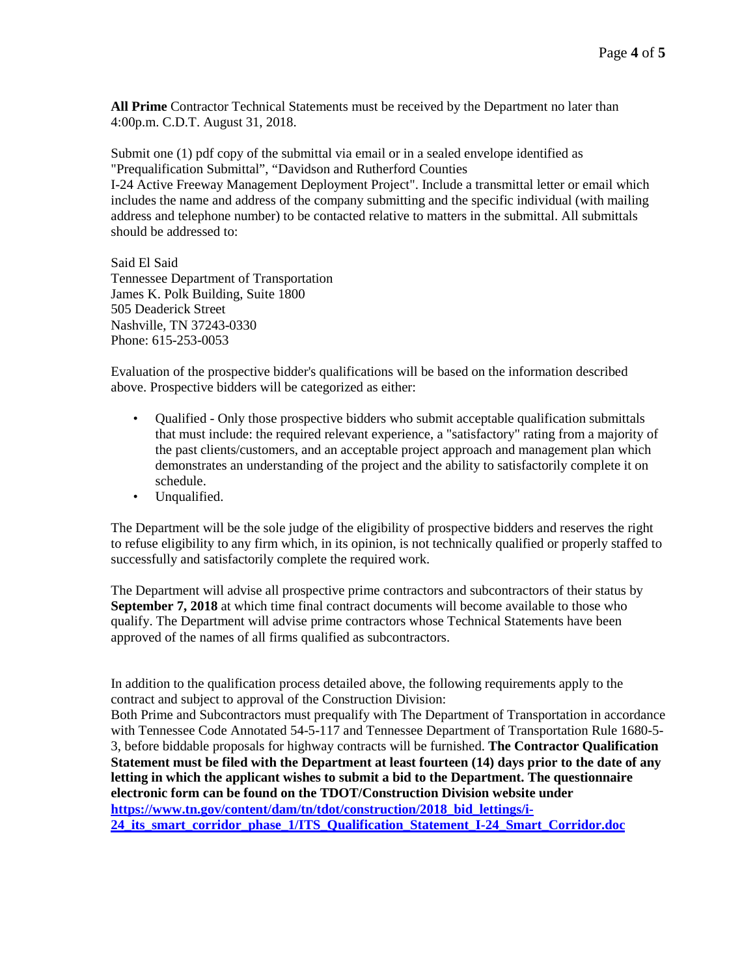**All Prime** Contractor Technical Statements must be received by the Department no later than 4:00p.m. C.D.T. August 31, 2018.

Submit one (1) pdf copy of the submittal via email or in a sealed envelope identified as "Prequalification Submittal", "Davidson and Rutherford Counties I-24 Active Freeway Management Deployment Project". Include a transmittal letter or email which includes the name and address of the company submitting and the specific individual (with mailing address and telephone number) to be contacted relative to matters in the submittal. All submittals should be addressed to:

Said El Said Tennessee Department of Transportation James K. Polk Building, Suite 1800 505 Deaderick Street Nashville, TN 37243-0330 Phone: 615-253-0053

Evaluation of the prospective bidder's qualifications will be based on the information described above. Prospective bidders will be categorized as either:

- Oualified Only those prospective bidders who submit acceptable qualification submittals that must include: the required relevant experience, a "satisfactory" rating from a majority of the past clients/customers, and an acceptable project approach and management plan which demonstrates an understanding of the project and the ability to satisfactorily complete it on schedule.
- Unqualified.

The Department will be the sole judge of the eligibility of prospective bidders and reserves the right to refuse eligibility to any firm which, in its opinion, is not technically qualified or properly staffed to successfully and satisfactorily complete the required work.

The Department will advise all prospective prime contractors and subcontractors of their status by **September 7, 2018** at which time final contract documents will become available to those who qualify. The Department will advise prime contractors whose Technical Statements have been approved of the names of all firms qualified as subcontractors.

In addition to the qualification process detailed above, the following requirements apply to the contract and subject to approval of the Construction Division:

Both Prime and Subcontractors must prequalify with The Department of Transportation in accordance with Tennessee Code Annotated 54-5-117 and Tennessee Department of Transportation Rule 1680-5- 3, before biddable proposals for highway contracts will be furnished. **The Contractor Qualification Statement must be filed with the Department at least fourteen (14) days prior to the date of any letting in which the applicant wishes to submit a bid to the Department. The questionnaire electronic form can be found on the TDOT/Construction Division website under** https://www.tn.gov/content/dam/tn/tdot/construction/2018 bid lettings/i-**[24\\_its\\_smart\\_corridor\\_phase\\_1/ITS\\_Qualification\\_Statement\\_I-24\\_Smart\\_Corridor.doc](https://www.tn.gov/content/dam/tn/tdot/construction/2018_bid_lettings/i-24_its_smart_corridor_phase_1/ITS_Qualification_Statement_I-24_Smart_Corridor.doc)**